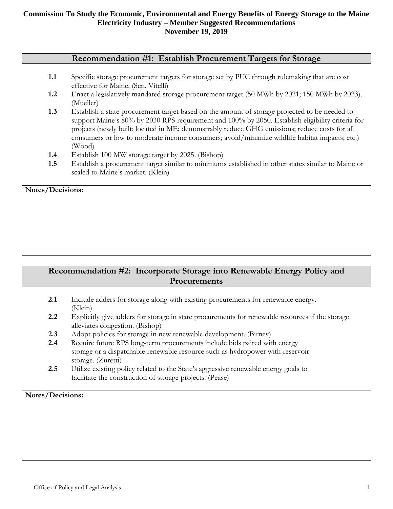#### **Recommendation #1: Establish Procurement Targets for Storage**

- **1.1** Specific storage procurement targets for storage set by PUC through rulemaking that are cost effective for Maine. (Sen. Vitelli)
- **1.2** Enact a legislatively mandated storage procurement target (50 MWh by 2021; 150 MWh by 2023). (Mueller)
- **1.3** Establish a state procurement target based on the amount of storage projected to be needed to support Maine's 80% by 2030 RPS requirement and 100% by 2050. Establish eligibility criteria for projects (newly built; located in ME; demonstrably reduce GHG emissions; reduce costs for all consumers or low to moderate income consumers; avoid/minimize wildlife habitat impacts; etc.) (Wood)
- **1.4** Establish 100 MW storage target by 2025. (Bishop)
- **1.5** Establish a procurement target similar to minimums established in other states similar to Maine or scaled to Maine's market. (Klein)

**Notes/Decisions:**

# **Recommendation #2: Incorporate Storage into Renewable Energy Policy and Procurements**

- **2.1** Include adders for storage along with existing procurements for renewable energy. (Klein)
- **2.2** Explicitly give adders for storage in state procurements for renewable resources if the storage alleviates congestion. (Bishop)
- **2.3** Adopt policies for storage in new renewable development. (Birney)
- **2.4** Require future RPS long-term procurements include bids paired with energy storage or a dispatchable renewable resource such as hydropower with reservoir storage. (Zuretti)
- **2.5** Utilize existing policy related to the State's aggressive renewable energy goals to facilitate the construction of storage projects. (Pease)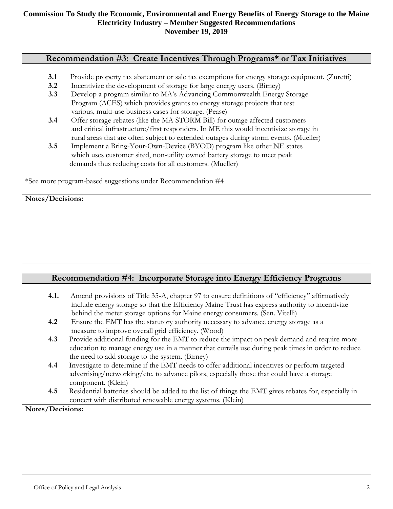# **Recommendation #3: Create Incentives Through Programs\* or Tax Initiatives**

- **3.1** Provide property tax abatement or sale tax exemptions for energy storage equipment. (Zuretti)
- **3.2** Incentivize the development of storage for large energy users. (Birney)
- **3.3** Develop a program similar to MA's Advancing Commonwealth Energy Storage Program (ACES) which provides grants to energy storage projects that test various, multi-use business cases for storage. (Pease)
- **3.4** Offer storage rebates (like the MA STORM Bill) for outage affected customers and critical infrastructure/first responders. In ME this would incentivize storage in rural areas that are often subject to extended outages during storm events. (Mueller)
- **3.5** Implement a Bring-Your-Own-Device (BYOD) program like other NE states which uses customer sited, non-utility owned battery storage to meet peak demands thus reducing costs for all customers. (Mueller)

\*See more program-based suggestions under Recommendation #4

**Notes/Decisions:**

# **Recommendation #4: Incorporate Storage into Energy Efficiency Programs**

- **4.1.** Amend provisions of Title 35-A, chapter 97 to ensure definitions of "efficiency" affirmatively include energy storage so that the Efficiency Maine Trust has express authority to incentivize behind the meter storage options for Maine energy consumers. (Sen. Vitelli)
- **4.2** Ensure the EMT has the statutory authority necessary to advance energy storage as a measure to improve overall grid efficiency. (Wood)
- **4.3** Provide additional funding for the EMT to reduce the impact on peak demand and require more education to manage energy use in a manner that curtails use during peak times in order to reduce the need to add storage to the system. (Birney)
- **4.4** Investigate to determine if the EMT needs to offer additional incentives or perform targeted advertising/networking/etc. to advance pilots, especially those that could have a storage component. (Klein)
- **4.5** Residential batteries should be added to the list of things the EMT gives rebates for, especially in concert with distributed renewable energy systems. (Klein)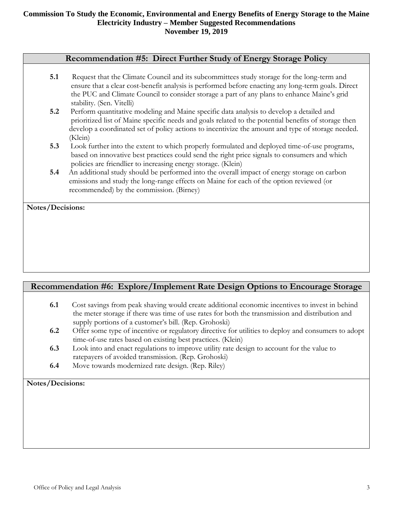# **Recommendation #5: Direct Further Study of Energy Storage Policy**

- **5.1** Request that the Climate Council and its subcommittees study storage for the long-term and ensure that a clear cost-benefit analysis is performed before enacting any long-term goals. Direct the PUC and Climate Council to consider storage a part of any plans to enhance Maine's grid stability. (Sen. Vitelli)
- **5.2** Perform quantitative modeling and Maine specific data analysis to develop a detailed and prioritized list of Maine specific needs and goals related to the potential benefits of storage then develop a coordinated set of policy actions to incentivize the amount and type of storage needed. (Klein)
- **5.3** Look further into the extent to which properly formulated and deployed time-of-use programs, based on innovative best practices could send the right price signals to consumers and which policies are friendlier to increasing energy storage. (Klein)
- **5.4** An additional study should be performed into the overall impact of energy storage on carbon emissions and study the long-range effects on Maine for each of the option reviewed (or recommended) by the commission. (Birney)

**Notes/Decisions:**

# **Recommendation #6: Explore/Implement Rate Design Options to Encourage Storage**

- **6.1** Cost savings from peak shaving would create additional economic incentives to invest in behind the meter storage if there was time of use rates for both the transmission and distribution and supply portions of a customer's bill. (Rep. Grohoski)
- **6.2** Offer some type of incentive or regulatory directive for utilities to deploy and consumers to adopt time-of-use rates based on existing best practices. (Klein)
- **6.3** Look into and enact regulations to improve utility rate design to account for the value to ratepayers of avoided transmission. (Rep. Grohoski)
- **6.4** Move towards modernized rate design. (Rep. Riley)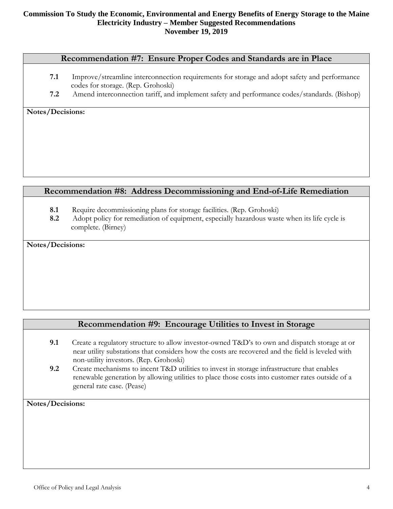#### **Recommendation #7: Ensure Proper Codes and Standards are in Place**

- **7.1** Improve/streamline interconnection requirements for storage and adopt safety and performance codes for storage. (Rep. Grohoski)
- **7.2** Amend interconnection tariff, and implement safety and performance codes/standards. (Bishop)

**Notes/Decisions:**

# **Recommendation #8: Address Decommissioning and End-of-Life Remediation**

- **8.1** Require decommissioning plans for storage facilities. (Rep. Grohoski)
- **8.2** Adopt policy for remediation of equipment, especially hazardous waste when its life cycle is complete. (Birney)

**Notes/Decisions:**

# **Recommendation #9: Encourage Utilities to Invest in Storage**

- **9.1** Create a regulatory structure to allow investor-owned T&D's to own and dispatch storage at or near utility substations that considers how the costs are recovered and the field is leveled with non-utility investors. (Rep. Grohoski)
- **9.2** Create mechanisms to incent T&D utilities to invest in storage infrastructure that enables renewable generation by allowing utilities to place those costs into customer rates outside of a general rate case. (Pease)